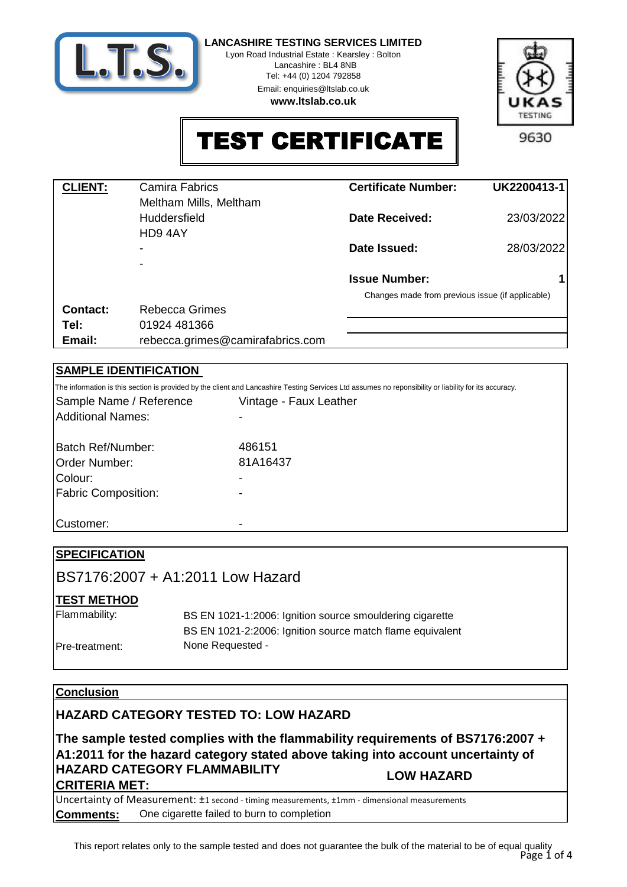

Lyon Road Industrial Estate : Kearsley : Bolton Lancashire : BL4 8NB

> Tel: +44 (0) 1204 792858 Email: enquiries@ltslab.co.uk

**www.ltslab.co.uk**



TEST CERTIFICATE

| <b>CLIENT:</b> | <b>Camira Fabrics</b><br>Meltham Mills, Meltham | <b>Certificate Number:</b>                       | UK2200413-1 |
|----------------|-------------------------------------------------|--------------------------------------------------|-------------|
|                | <b>Huddersfield</b><br>HD94AY                   | Date Received:                                   | 23/03/2022  |
|                |                                                 | Date Issued:                                     | 28/03/2022  |
|                |                                                 | <b>Issue Number:</b>                             |             |
|                |                                                 | Changes made from previous issue (if applicable) |             |
| Contact:       | Rebecca Grimes                                  |                                                  |             |
| Tel:           | 01924 481366                                    |                                                  |             |
| Email:         | rebecca.grimes@camirafabrics.com                |                                                  |             |

# **SAMPLE IDENTIFICATION**

|                            | The information is this section is provided by the client and Lancashire Testing Services Ltd assumes no reponsibility or liability for its accuracy. |
|----------------------------|-------------------------------------------------------------------------------------------------------------------------------------------------------|
| Sample Name / Reference    | Vintage - Faux Leather                                                                                                                                |
| <b>Additional Names:</b>   |                                                                                                                                                       |
| Batch Ref/Number:          | 486151                                                                                                                                                |
| <b>Order Number:</b>       | 81A16437                                                                                                                                              |
| Colour:                    |                                                                                                                                                       |
| <b>Fabric Composition:</b> |                                                                                                                                                       |
| Customer:                  | -                                                                                                                                                     |

| <b>SPECIFICATION</b> |                                                           |
|----------------------|-----------------------------------------------------------|
|                      | IBS7176:2007 + A1:2011 Low Hazard                         |
| <b>TEST METHOD</b>   |                                                           |
| Flammability:        | BS EN 1021-1:2006: Ignition source smouldering cigarette  |
|                      | BS EN 1021-2:2006: Ignition source match flame equivalent |
| Pre-treatment:       | None Requested -                                          |
|                      |                                                           |

## **Conclusion**

# **HAZARD CATEGORY TESTED TO: LOW HAZARD**

**The sample tested complies with the flammability requirements of BS7176:2007 + A1:2011 for the hazard category stated above taking into account uncertainty of HAZARD CATEGORY FLAMMABILITY CRITERIA MET: LOW HAZARD**

**Comments:** Uncertainty of Measurement: ±1 second - timing measurements, ±1mm - dimensional measurements One cigarette failed to burn to completion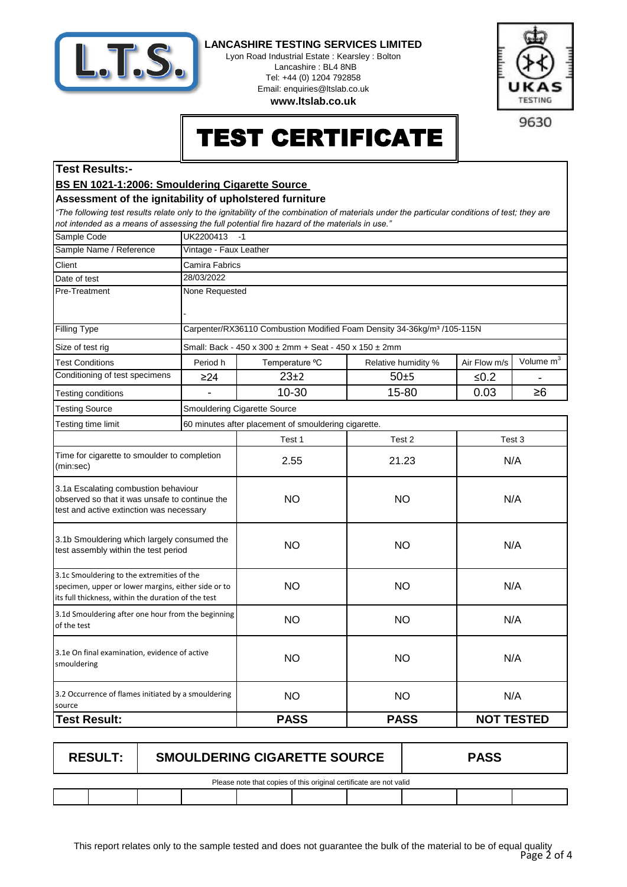

Lyon Road Industrial Estate : Kearsley : Bolton Lancashire : BL4 8NB Tel: +44 (0) 1204 792858 Email: enquiries@ltslab.co.uk

**www.ltslab.co.uk**



TEST CERTIFICATE

## **Test Results:-**

## **BS EN 1021-1:2006: Smouldering Cigarette Source**

#### **Assessment of the ignitability of upholstered furniture**

*"The following test results relate only to the ignitability of the combination of materials under the particular conditions of test; they are not intended as a means of assessing the full potential fire hazard of the materials in use."*

| Sample Code                                                                                                                                              | UK2200413<br>$-1$      |                                                                                     |                     |                   |                       |  |  |
|----------------------------------------------------------------------------------------------------------------------------------------------------------|------------------------|-------------------------------------------------------------------------------------|---------------------|-------------------|-----------------------|--|--|
| Sample Name / Reference                                                                                                                                  | Vintage - Faux Leather |                                                                                     |                     |                   |                       |  |  |
| Client                                                                                                                                                   | Camira Fabrics         |                                                                                     |                     |                   |                       |  |  |
| Date of test                                                                                                                                             | 28/03/2022             |                                                                                     |                     |                   |                       |  |  |
| Pre-Treatment                                                                                                                                            | None Requested         |                                                                                     |                     |                   |                       |  |  |
|                                                                                                                                                          |                        |                                                                                     |                     |                   |                       |  |  |
| <b>Filling Type</b>                                                                                                                                      |                        | Carpenter/RX36110 Combustion Modified Foam Density 34-36kg/m <sup>3</sup> /105-115N |                     |                   |                       |  |  |
| Size of test rig                                                                                                                                         |                        | Small: Back - 450 x 300 ± 2mm + Seat - 450 x 150 ± 2mm                              |                     |                   |                       |  |  |
| <b>Test Conditions</b>                                                                                                                                   | Period h               | Temperature °C                                                                      | Relative humidity % | Air Flow m/s      | Volume m <sup>3</sup> |  |  |
| Conditioning of test specimens                                                                                                                           | $\geq$ 24              | $23+2$                                                                              | $50+5$              | $≤0.2$            |                       |  |  |
| Testing conditions                                                                                                                                       |                        | 10-30                                                                               | 15-80               | 0.03              | $\geq 6$              |  |  |
| <b>Testing Source</b>                                                                                                                                    |                        | Smouldering Cigarette Source                                                        |                     |                   |                       |  |  |
| Testing time limit                                                                                                                                       |                        | 60 minutes after placement of smouldering cigarette.                                |                     |                   |                       |  |  |
|                                                                                                                                                          |                        | Test 1                                                                              | Test 2              |                   | Test 3                |  |  |
| Time for cigarette to smoulder to completion<br>(min:sec)                                                                                                |                        | 2.55                                                                                | 21.23               |                   | N/A                   |  |  |
| 3.1a Escalating combustion behaviour<br>observed so that it was unsafe to continue the<br>test and active extinction was necessary                       |                        | <b>NO</b>                                                                           | <b>NO</b>           | N/A               |                       |  |  |
| 3.1b Smouldering which largely consumed the<br>test assembly within the test period                                                                      |                        | <b>NO</b>                                                                           | <b>NO</b>           | N/A               |                       |  |  |
| 3.1c Smouldering to the extremities of the<br>specimen, upper or lower margins, either side or to<br>its full thickness, within the duration of the test |                        | <b>NO</b>                                                                           | <b>NO</b>           | N/A               |                       |  |  |
| 3.1d Smouldering after one hour from the beginning<br>of the test                                                                                        |                        | <b>NO</b>                                                                           | <b>NO</b>           | N/A               |                       |  |  |
| 3.1e On final examination, evidence of active<br>smouldering                                                                                             |                        | <b>NO</b>                                                                           | <b>NO</b>           | N/A               |                       |  |  |
| 3.2 Occurrence of flames initiated by a smouldering<br>source                                                                                            |                        | <b>NO</b>                                                                           | <b>NO</b>           | N/A               |                       |  |  |
| <b>Test Result:</b>                                                                                                                                      |                        | <b>PASS</b>                                                                         | <b>PASS</b>         | <b>NOT TESTED</b> |                       |  |  |

| <b>RESULT:</b>                                                     | <b>SMOULDERING CIGARETTE SOURCE</b> |  |  | <b>PASS</b> |  |  |  |
|--------------------------------------------------------------------|-------------------------------------|--|--|-------------|--|--|--|
| Please note that copies of this original certificate are not valid |                                     |  |  |             |  |  |  |
|                                                                    |                                     |  |  |             |  |  |  |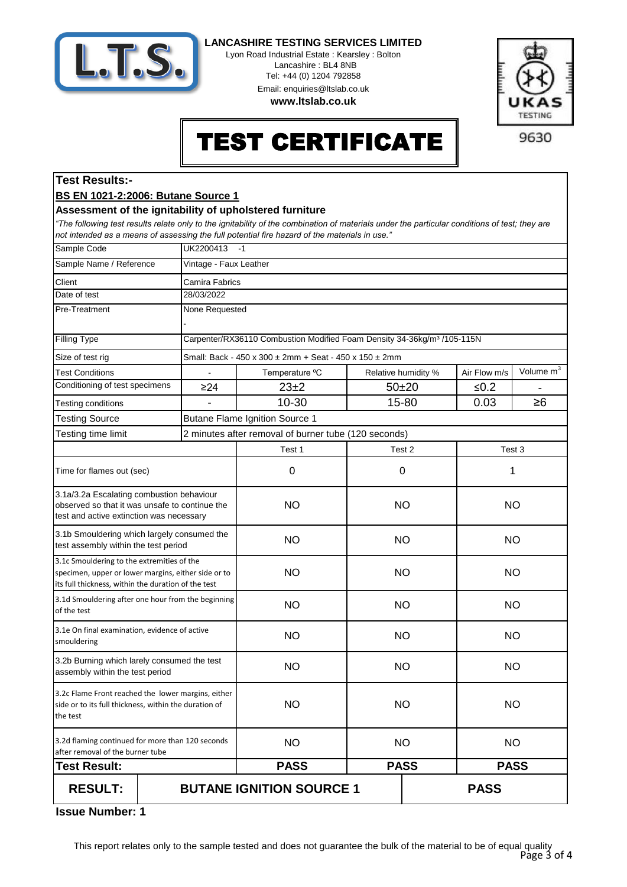

Lyon Road Industrial Estate : Kearsley : Bolton Lancashire : BL4 8NB Tel: +44 (0) 1204 792858 Email: enquiries@ltslab.co.uk

**www.ltslab.co.uk**



TEST CERTIFICATE

# **Test Results:-**

### **BS EN 1021-2:2006: Butane Source 1**

#### **Assessment of the ignitability of upholstered furniture**

*"The following test results relate only to the ignitability of the combination of materials under the particular conditions of test; they are not intended as a means of assessing the full potential fire hazard of the materials in use."*

| Sample Code                                                                                                                                              | UK2200413<br>$-1$      |                                                                                     |                            |  |              |                       |
|----------------------------------------------------------------------------------------------------------------------------------------------------------|------------------------|-------------------------------------------------------------------------------------|----------------------------|--|--------------|-----------------------|
| Sample Name / Reference                                                                                                                                  | Vintage - Faux Leather |                                                                                     |                            |  |              |                       |
| Client                                                                                                                                                   | Camira Fabrics         |                                                                                     |                            |  |              |                       |
| Date of test                                                                                                                                             | 28/03/2022             |                                                                                     |                            |  |              |                       |
| Pre-Treatment                                                                                                                                            | None Requested         |                                                                                     |                            |  |              |                       |
|                                                                                                                                                          |                        |                                                                                     |                            |  |              |                       |
| <b>Filling Type</b>                                                                                                                                      |                        | Carpenter/RX36110 Combustion Modified Foam Density 34-36kg/m <sup>3</sup> /105-115N |                            |  |              |                       |
| Size of test rig                                                                                                                                         |                        | Small: Back - 450 x 300 ± 2mm + Seat - 450 x 150 ± 2mm                              |                            |  |              |                       |
| <b>Test Conditions</b>                                                                                                                                   |                        | Temperature °C                                                                      | Relative humidity %        |  | Air Flow m/s | Volume m <sup>3</sup> |
| Conditioning of test specimens                                                                                                                           | $\geq$ 24              | 23±2                                                                                | $50 + 20$                  |  | ≤ $0.2$      |                       |
| Testing conditions                                                                                                                                       |                        | 10-30                                                                               | 15-80                      |  | 0.03         | $\geq 6$              |
| <b>Testing Source</b>                                                                                                                                    |                        | <b>Butane Flame Ignition Source 1</b>                                               |                            |  |              |                       |
| Testing time limit                                                                                                                                       |                        | 2 minutes after removal of burner tube (120 seconds)                                |                            |  |              |                       |
|                                                                                                                                                          |                        | Test 1                                                                              | Test 2                     |  |              | Test 3                |
| Time for flames out (sec)                                                                                                                                |                        | 0                                                                                   | 0                          |  | 1            |                       |
| 3.1a/3.2a Escalating combustion behaviour<br>observed so that it was unsafe to continue the<br>test and active extinction was necessary                  |                        | <b>NO</b>                                                                           | <b>NO</b>                  |  | <b>NO</b>    |                       |
| 3.1b Smouldering which largely consumed the<br>test assembly within the test period                                                                      |                        | <b>NO</b>                                                                           | <b>NO</b>                  |  | <b>NO</b>    |                       |
| 3.1c Smouldering to the extremities of the<br>specimen, upper or lower margins, either side or to<br>its full thickness, within the duration of the test |                        | <b>NO</b>                                                                           | <b>NO</b>                  |  | <b>NO</b>    |                       |
| 3.1d Smouldering after one hour from the beginning<br>of the test                                                                                        |                        | <b>NO</b>                                                                           | <b>NO</b>                  |  | <b>NO</b>    |                       |
| 3.1e On final examination, evidence of active<br>smouldering                                                                                             |                        | <b>NO</b>                                                                           | <b>NO</b>                  |  | <b>NO</b>    |                       |
| 3.2b Burning which larely consumed the test<br>assembly within the test period                                                                           |                        | <b>NO</b>                                                                           | <b>NO</b>                  |  | <b>NO</b>    |                       |
| 3.2c Flame Front reached the lower margins, either<br>side or to its full thickness, within the duration of<br>the test                                  |                        | <b>NO</b>                                                                           | <b>NO</b>                  |  | <b>NO</b>    |                       |
| 3.2d flaming continued for more than 120 seconds<br>after removal of the burner tube                                                                     |                        | <b>NO</b>                                                                           | <b>NO</b>                  |  | <b>NO</b>    |                       |
| <b>Test Result:</b>                                                                                                                                      |                        | <b>PASS</b>                                                                         | <b>PASS</b><br><b>PASS</b> |  |              |                       |
| <b>RESULT:</b>                                                                                                                                           |                        | <b>BUTANE IGNITION SOURCE 1</b>                                                     |                            |  | <b>PASS</b>  |                       |

**1 Issue Number:**